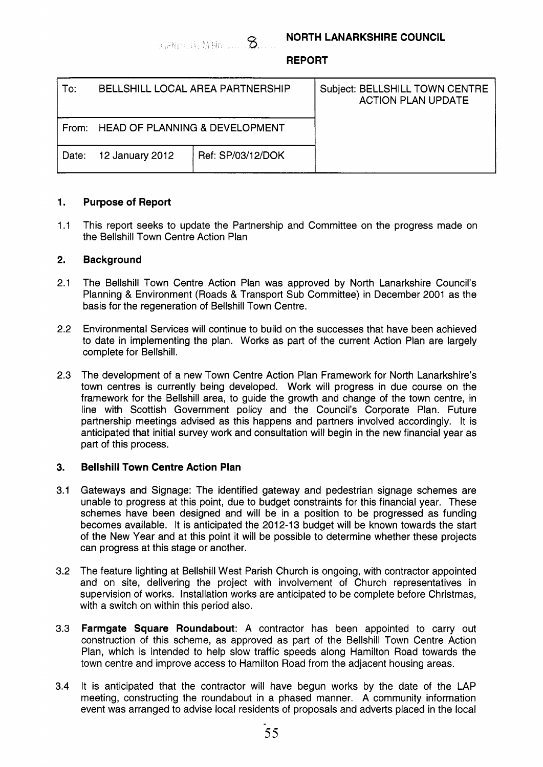# **REPORT**

| To:   | BELLSHILL LOCAL AREA PARTNERSHIP     |                   | Subject: BELLSHILL TOWN CENTRE<br><b>ACTION PLAN UPDATE</b> |
|-------|--------------------------------------|-------------------|-------------------------------------------------------------|
|       | From: HEAD OF PLANNING & DEVELOPMENT |                   |                                                             |
| Date: | 12 January 2012                      | Ref: SP/03/12/DOK |                                                             |

## **1. Purpose of Report**

1.1 This report seeks to update the Partnership and Committee on the progress made on the Bellshill Town Centre Action Plan

## **2. Background**

- 2.1 The Bellshill Town Centre Action Plan was approved by North Lanarkshire Council's Planning & Environment (Roads & Transport Sub Committee) in December 2001 as the basis for the regeneration of Bellshill Town Centre.
- 2.2 Environmental Services will continue to build on the successes that have been achieved to date in implementing the plan. Works as part of the current Action Plan are largely complete for Bellshill.
- 2.3 The development of a new Town Centre Action Plan Framework for North Lanarkshire's town centres is currently being developed. Work will progress in due course on the framework for the Bellshill area, to guide the growth and change of the town centre, in line with Scottish Government policy and the Council's Corporate Plan. Future partnership meetings advised as this happens and partners involved accordingly. It is anticipated that initial survey work and consultation will begin in the new financial year as part of this process.

## **3. Bellshill Town Centre Action Plan**

- 3.1 Gateways and Signage: The identified gateway and pedestrian signage schemes are unable to progress at this point, due to budget constraints for this financial year. These schemes have been designed and will be in a position to be progressed as funding becomes available. It is anticipated the 2012-13 budget will be known towards the start of the New Year and at this point it will be possible to determine whether these projects can progress at this stage or another.
- 3.2 The feature lighting at Bellshill West Parish Church is ongoing, with contractor appointed and on site, delivering the project with involvement of Church representatives in supervision of works. Installation works are anticipated to be complete before Christmas, with a switch on within this period also.
- 3.3 **Farmgate Square Roundabout:** A contractor has been appointed to carry out construction of this scheme, as approved as part of the Bellshill Town Centre Action Plan, which is intended to help slow traffic speeds along Hamilton Road towards the town centre and improve access to Hamilton Road from the adjacent housing areas.
- 3.4 It is anticipated that the contractor will have begun works by the date of the LAP meeting, constructing the roundabout in a phased manner. A community information event was arranged to advise local residents of proposals and adverts placed in the local